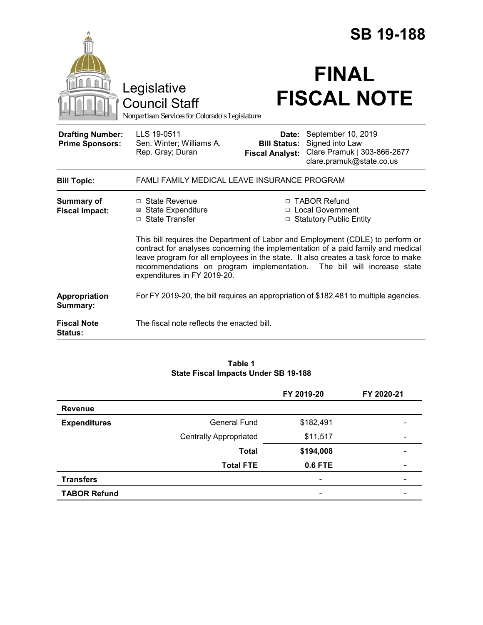|                                                                                        |                                                                                                                                                                                                                                                                                                                                                                    |                                                        | <b>SB 19-188</b>                                                                                 |  |
|----------------------------------------------------------------------------------------|--------------------------------------------------------------------------------------------------------------------------------------------------------------------------------------------------------------------------------------------------------------------------------------------------------------------------------------------------------------------|--------------------------------------------------------|--------------------------------------------------------------------------------------------------|--|
| Legislative<br><b>Council Staff</b><br>Nonpartisan Services for Colorado's Legislature |                                                                                                                                                                                                                                                                                                                                                                    | <b>FINAL</b><br><b>FISCAL NOTE</b>                     |                                                                                                  |  |
| <b>Drafting Number:</b><br><b>Prime Sponsors:</b>                                      | LLS 19-0511<br>Sen. Winter; Williams A.<br>Rep. Gray; Duran                                                                                                                                                                                                                                                                                                        | Date:<br><b>Bill Status:</b><br><b>Fiscal Analyst:</b> | September 10, 2019<br>Signed into Law<br>Clare Pramuk   303-866-2677<br>clare.pramuk@state.co.us |  |
| <b>Bill Topic:</b>                                                                     | FAMLI FAMILY MEDICAL LEAVE INSURANCE PROGRAM                                                                                                                                                                                                                                                                                                                       |                                                        |                                                                                                  |  |
| <b>Summary of</b><br><b>Fiscal Impact:</b>                                             | □ State Revenue<br><b>⊠ State Expenditure</b><br>□ State Transfer                                                                                                                                                                                                                                                                                                  |                                                        | □ TABOR Refund<br>□ Local Government<br>□ Statutory Public Entity                                |  |
|                                                                                        | This bill requires the Department of Labor and Employment (CDLE) to perform or<br>contract for analyses concerning the implementation of a paid family and medical<br>leave program for all employees in the state. It also creates a task force to make<br>recommendations on program implementation. The bill will increase state<br>expenditures in FY 2019-20. |                                                        |                                                                                                  |  |
| Appropriation<br>Summary:                                                              | For FY 2019-20, the bill requires an appropriation of \$182,481 to multiple agencies.                                                                                                                                                                                                                                                                              |                                                        |                                                                                                  |  |
| <b>Fiscal Note</b><br><b>Status:</b>                                                   | The fiscal note reflects the enacted bill.                                                                                                                                                                                                                                                                                                                         |                                                        |                                                                                                  |  |

### **Table 1 State Fiscal Impacts Under SB 19-188**

|                     |                               | FY 2019-20               | FY 2020-21               |
|---------------------|-------------------------------|--------------------------|--------------------------|
| <b>Revenue</b>      |                               |                          |                          |
| <b>Expenditures</b> | <b>General Fund</b>           | \$182,491                |                          |
|                     | <b>Centrally Appropriated</b> | \$11,517                 | $\overline{\phantom{a}}$ |
|                     | <b>Total</b>                  | \$194,008                | $\qquad \qquad$          |
|                     | <b>Total FTE</b>              | 0.6 FTE                  | $\overline{\phantom{a}}$ |
| <b>Transfers</b>    |                               | $\overline{\phantom{a}}$ |                          |
| <b>TABOR Refund</b> |                               | $\overline{\phantom{0}}$ |                          |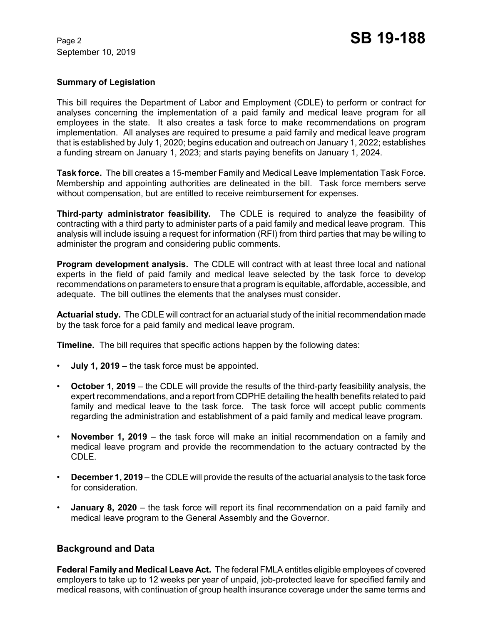# **Summary of Legislation**

This bill requires the Department of Labor and Employment (CDLE) to perform or contract for analyses concerning the implementation of a paid family and medical leave program for all employees in the state. It also creates a task force to make recommendations on program implementation. All analyses are required to presume a paid family and medical leave program that is established by July 1, 2020; begins education and outreach on January 1, 2022; establishes a funding stream on January 1, 2023; and starts paying benefits on January 1, 2024.

**Task force.** The bill creates a 15-member Family and Medical Leave Implementation Task Force. Membership and appointing authorities are delineated in the bill. Task force members serve without compensation, but are entitled to receive reimbursement for expenses.

**Third-party administrator feasibility.** The CDLE is required to analyze the feasibility of contracting with a third party to administer parts of a paid family and medical leave program. This analysis will include issuing a request for information (RFI) from third parties that may be willing to administer the program and considering public comments.

**Program development analysis.** The CDLE will contract with at least three local and national experts in the field of paid family and medical leave selected by the task force to develop recommendations on parameters to ensure that a program is equitable, affordable, accessible, and adequate. The bill outlines the elements that the analyses must consider.

**Actuarial study.** The CDLE will contract for an actuarial study of the initial recommendation made by the task force for a paid family and medical leave program.

**Timeline.** The bill requires that specific actions happen by the following dates:

- **July 1, 2019**  the task force must be appointed.
- **October 1, 2019**  the CDLE will provide the results of the third-party feasibility analysis, the expert recommendations, and a report from CDPHE detailing the health benefits related to paid family and medical leave to the task force. The task force will accept public comments regarding the administration and establishment of a paid family and medical leave program.
- **November 1, 2019**  the task force will make an initial recommendation on a family and medical leave program and provide the recommendation to the actuary contracted by the CDLE.
- **December 1, 2019**  the CDLE will provide the results of the actuarial analysis to the task force for consideration.
- **January 8, 2020** the task force will report its final recommendation on a paid family and medical leave program to the General Assembly and the Governor.

# **Background and Data**

**Federal Family and Medical Leave Act.** The federal FMLA entitles eligible employees of covered employers to take up to 12 weeks per year of unpaid, job-protected leave for specified family and medical reasons, with continuation of group health insurance coverage under the same terms and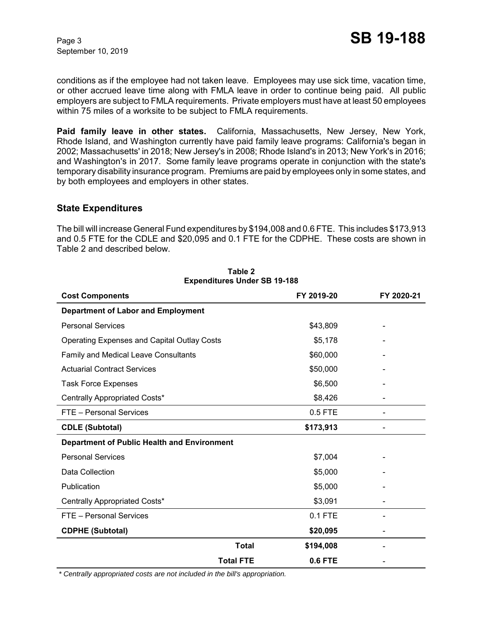September 10, 2019

conditions as if the employee had not taken leave. Employees may use sick time, vacation time, or other accrued leave time along with FMLA leave in order to continue being paid. All public employers are subject to FMLA requirements. Private employers must have at least 50 employees within 75 miles of a worksite to be subject to FMLA requirements.

**Paid family leave in other states.** California, Massachusetts, New Jersey, New York, Rhode Island, and Washington currently have paid family leave programs: California's began in 2002; Massachusetts' in 2018; New Jersey's in 2008; Rhode Island's in 2013; New York's in 2016; and Washington's in 2017. Some family leave programs operate in conjunction with the state's temporary disability insurance program. Premiums are paid by employees only in some states, and by both employees and employers in other states.

## **State Expenditures**

The bill will increase General Fund expenditures by \$194,008 and 0.6 FTE. This includes \$173,913 and 0.5 FTE for the CDLE and \$20,095 and 0.1 FTE for the CDPHE. These costs are shown in Table 2 and described below.

| <b>Cost Components</b>                             | FY 2019-20     | FY 2020-21 |
|----------------------------------------------------|----------------|------------|
| <b>Department of Labor and Employment</b>          |                |            |
| <b>Personal Services</b>                           | \$43,809       |            |
| <b>Operating Expenses and Capital Outlay Costs</b> | \$5,178        |            |
| Family and Medical Leave Consultants               | \$60,000       |            |
| <b>Actuarial Contract Services</b>                 | \$50,000       |            |
| <b>Task Force Expenses</b>                         | \$6,500        |            |
| Centrally Appropriated Costs*                      | \$8,426        |            |
| FTE - Personal Services                            | 0.5 FTE        |            |
| <b>CDLE (Subtotal)</b>                             | \$173,913      |            |
| <b>Department of Public Health and Environment</b> |                |            |
| <b>Personal Services</b>                           | \$7,004        |            |
| Data Collection                                    | \$5,000        |            |
| Publication                                        | \$5,000        |            |
| Centrally Appropriated Costs*                      | \$3,091        |            |
| FTE - Personal Services                            | 0.1 FTE        |            |
| <b>CDPHE (Subtotal)</b>                            | \$20,095       |            |
| <b>Total</b>                                       | \$194,008      |            |
| <b>Total FTE</b>                                   | <b>0.6 FTE</b> |            |

## **Table 2 Expenditures Under SB 19-188**

 *\* Centrally appropriated costs are not included in the bill's appropriation.*